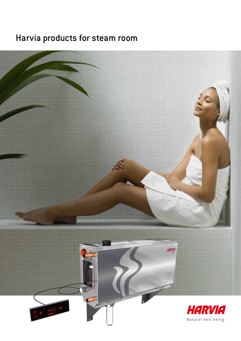# Harvia products for steam room

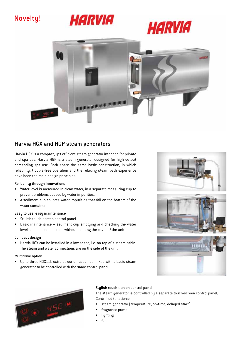## Novelty!







## Harvia HGX and HGP steam generators

Harvia HGX is a compact, yet efficient steam generator intended for private and spa use. Harvia HGP is a steam generator designed for high output demanding spa use. Both share the same basic construction, in which reliability, trouble-free operation and the relaxing steam bath experience have been the main design principles.

#### Reliability through innovations

- Water level is measured in clean water, in a separate measuring cup to prevent problems caused by water impurities.
- A sediment cup collects water impurities that fall on the bottom of the water container.

#### Easy to use, easy maintenance

- • Stylish touch-screen control panel.
- Basic maintenance sediment cup emptying and checking the water level sensor – can be done without opening the cover of the unit.

#### Compact design

• Harvia HGX can be installed in a low space, i.e. on top of a steam cabin. The steam and water connections are on the side of the unit.

#### Multidrive option

• Up to three HGX11L extra power units can be linked with a basic steam generator to be controlled with the same control panel.









#### Stylish touch-screen control panel

The steam generator is controlled by a separate touch-screen control panel. Controlled functions:

- steam generator (temperature, on-time, delayed start)
- fragrance pump
- **lighting**
- fan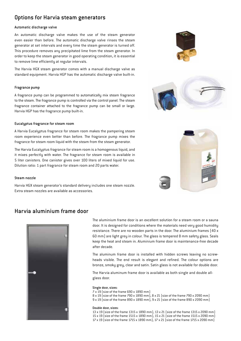## Options for Harvia steam generators

#### Automatic discharge valve

An automatic discharge valve makes the use of the steam generator even easier than before. The automatic discharge valve rinses the steam generator at set intervals and every time the steam generator is turned off. This procedure removes any precipitated lime from the steam generator. In order to keep the steam generator in good operating condition, it is essential to remove lime efficiently at regular intervals.

The Harvia HGX steam generator comes with a manual discharge valve as standard equipment. Harvia HGP has the automatic discharge valve built-in.

#### Fragrance pump

A fragrance pump can be programmed to automatically mix steam fragrance to the steam. The fragrance pump is controlled via the control panel. The steam fragrance container attached to the fragrance pump can be small or large. Harvia HGP has the fragrance pump built-in.

#### Eucalyptus fragrance for steam room

A Harvia Eucalyptus fragrance for steam room makes the pampering steam room experience even better than before. The fragrance pump mixes the fragrance for steam room liquid with the steam from the steam generator.

The Harvia Eucalyptus fragrance for steam room is a homogenous liquid, and it mixes perfectly with water. The fragrance for steam room is available in 5 liter canisters. One canister gives over 100 liters of mixed liquid for use. Dilution ratio: 1 part fragrance for steam room and 20 parts water.

#### Steam nozzle

Harvia HGX steam generator's standard delivery includes one steam nozzle. Extra steam nozzles are available as accessories.

### Harvia aluminium frame door



The aluminium frame door is an excellent solution for a steam room or a sauna door. It is designed for conditions where the materials need very good humidity resistance. There are no wooden parts in the door. The aluminium frames (40 x 60 mm) are light grey in colour. The glass is tempered 8 mm safety glass. Seals keep the heat and steam in. Aluminium frame door is maintenance-free decade after decade.

The aluminum frame door is installed with hidden screws leaving no screwheads visible. The end result is elegant and refined. The colour options are bronze, smoky grey, clear and satin. Satin glass is not available for double door.

The Harvia aluminum frame door is available as both single and double allglass door.

#### Single door, sizes:

7 x 19 (size of the frame 690 x 1890 mm) 8 x 19 (size of the frame 790 x 1890 mm), 8 x 21 (size of the frame 790 x 2090 mm) 9 x 19 (size of the frame 890 x 1890 mm), 9 x 21 (size of the frame 890 x 2090 mm)

#### Double door, sizes:

13 x 19 (size of the frame 1315 x 1890 mm), 13 x 21 (size of the frame 1315 x 2090 mm) 15 x 19 (size of the frame 1515 x 1890 mm), 15 x 21 (size of the frame 1515 x 2090 mm) 17 x 19 (size of the frame 1715 x 1890 mm), 17 x 21 (size of the frame 1715 x 2090 mm)